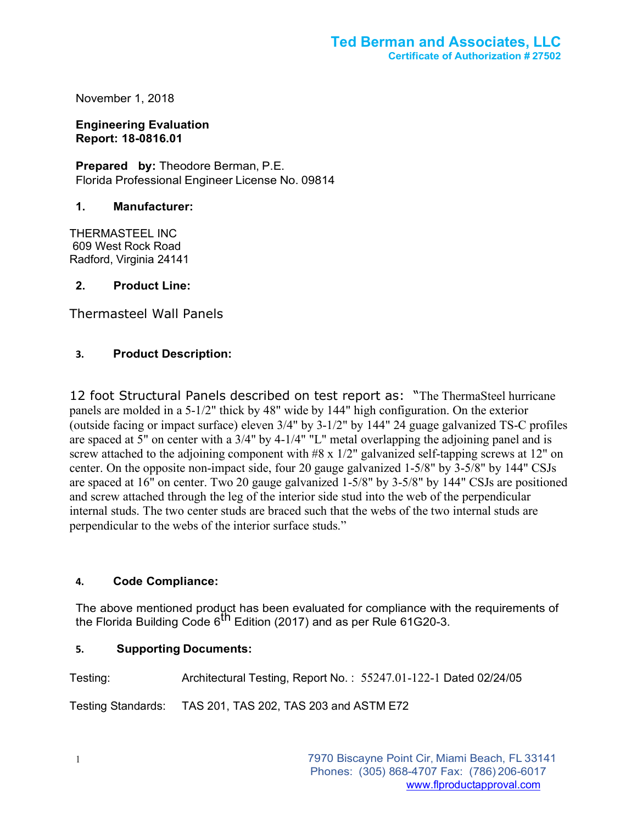November 1, 2018

**Engineering Evaluation Report: 18-0816.01**

**Prepared by:** Theodore Berman, P.E. Florida Professional Engineer License No. 09814

# **1. Manufacturer:**

THERMASTEEL INC 609 West Rock Road Radford, Virginia 24141

# **2. Product Line:**

Thermasteel Wall Panels

# **3. Product Description:**

12 foot Structural Panels described on test report as: "The ThermaSteel hurricane panels are molded in a 5-1/2" thick by 48" wide by 144" high configuration. On the exterior (outside facing or impact surface) eleven 3/4" by 3-1/2" by 144" 24 guage galvanized TS-C profiles are spaced at 5" on center with a 3/4" by 4-1/4" "L" metal overlapping the adjoining panel and is screw attached to the adjoining component with #8 x 1/2" galvanized self-tapping screws at 12" on center. On the opposite non-impact side, four 20 gauge galvanized 1-5/8" by 3-5/8" by 144" CSJs are spaced at 16" on center. Two 20 gauge galvanized 1-5/8" by 3-5/8" by 144" CSJs are positioned and screw attached through the leg of the interior side stud into the web of the perpendicular internal studs. The two center studs are braced such that the webs of the two internal studs are perpendicular to the webs of the interior surface studs."

# **4. Code Compliance:**

The above mentioned product has been evaluated for compliance with the requirements of the Florida Building Code 6<sup>th</sup> Edition (2017) and as per Rule 61G20-3.

#### **5. Supporting Documents:**

Testing: Architectural Testing, Report No. : 55247.01-122-1 Dated 02/24/05

Testing Standards: TAS 201, TAS 202, TAS 203 and ASTM E72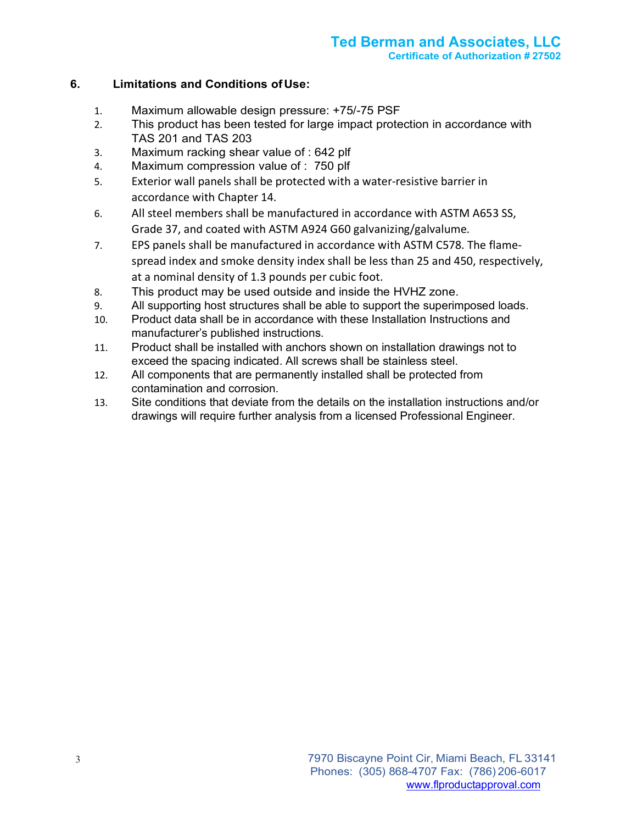# **6. Limitations and Conditions of Use:**

- 1. Maximum allowable design pressure: +75/-75 PSF
- 2. This product has been tested for large impact protection in accordance with TAS 201 and TAS 203
- 3. Maximum racking shear value of : 642 plf
- 4. Maximum compression value of : 750 plf
- 5. Exterior wall panels shall be protected with a water-resistive barrier in accordance with Chapter 14.
- 6. All steel members shall be manufactured in accordance with ASTM A653 SS, Grade 37, and coated with ASTM A924 G60 galvanizing/galvalume.
- 7. EPS panels shall be manufactured in accordance with ASTM C578. The flamespread index and smoke density index shall be less than 25 and 450, respectively, at a nominal density of 1.3 pounds per cubic foot.
- 8. This product may be used outside and inside the HVHZ zone.
- 9. All supporting host structures shall be able to support the superimposed loads.
- 10. Product data shall be in accordance with these Installation Instructions and manufacturer's published instructions.
- 11. Product shall be installed with anchors shown on installation drawings not to exceed the spacing indicated. All screws shall be stainless steel.
- 12. All components that are permanently installed shall be protected from contamination and corrosion.
- 13. Site conditions that deviate from the details on the installation instructions and/or drawings will require further analysis from a licensed Professional Engineer.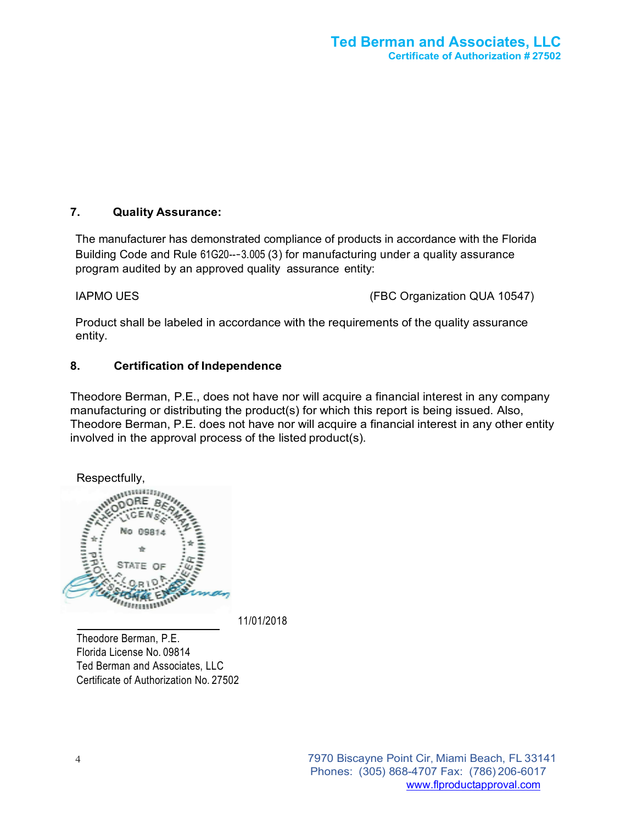# **7. Quality Assurance:**

The manufacturer has demonstrated compliance of products in accordance with the Florida Building Code and Rule 61G20--‐3.005 (3) for manufacturing under a quality assurance program audited by an approved quality assurance entity:

IAPMO UES (FBC Organization QUA 10547)

Product shall be labeled in accordance with the requirements of the quality assurance entity.

# **8. Certification of Independence**

Theodore Berman, P.E., does not have nor will acquire a financial interest in any company manufacturing or distributing the product(s) for which this report is being issued. Also, Theodore Berman, P.E. does not have nor will acquire a financial interest in any other entity involved in the approval process of the listed product(s).



11/01/2018

Theodore Berman, P.E. Florida License No. 09814 Ted Berman and Associates, LLC Certificate of Authorization No. 27502